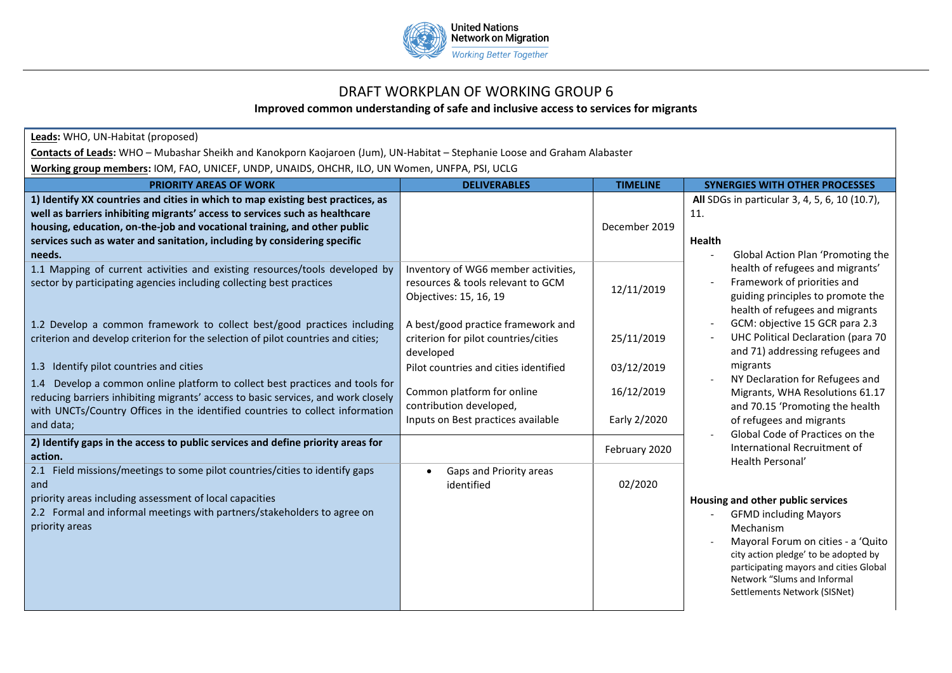

## DRAFT WORKPLAN OF WORKING GROUP 6

## **Improved common understanding of safe and inclusive access to services for migrants**

| Leads: WHO, UN-Habitat (proposed)                                                                                                                                                                                                                                                                                                |                                                                                                    |                            |                                                                                                                                                                                                                                                                                                                                                                                                                                                                                                   |  |  |
|----------------------------------------------------------------------------------------------------------------------------------------------------------------------------------------------------------------------------------------------------------------------------------------------------------------------------------|----------------------------------------------------------------------------------------------------|----------------------------|---------------------------------------------------------------------------------------------------------------------------------------------------------------------------------------------------------------------------------------------------------------------------------------------------------------------------------------------------------------------------------------------------------------------------------------------------------------------------------------------------|--|--|
| Contacts of Leads: WHO - Mubashar Sheikh and Kanokporn Kaojaroen (Jum), UN-Habitat - Stephanie Loose and Graham Alabaster                                                                                                                                                                                                        |                                                                                                    |                            |                                                                                                                                                                                                                                                                                                                                                                                                                                                                                                   |  |  |
| Working group members: IOM, FAO, UNICEF, UNDP, UNAIDS, OHCHR, ILO, UN Women, UNFPA, PSI, UCLG                                                                                                                                                                                                                                    |                                                                                                    |                            |                                                                                                                                                                                                                                                                                                                                                                                                                                                                                                   |  |  |
| <b>PRIORITY AREAS OF WORK</b>                                                                                                                                                                                                                                                                                                    | <b>DELIVERABLES</b>                                                                                | <b>TIMELINE</b>            | <b>SYNERGIES WITH OTHER PROCESSES</b>                                                                                                                                                                                                                                                                                                                                                                                                                                                             |  |  |
| 1) Identify XX countries and cities in which to map existing best practices, as<br>well as barriers inhibiting migrants' access to services such as healthcare<br>housing, education, on-the-job and vocational training, and other public<br>services such as water and sanitation, including by considering specific<br>needs. |                                                                                                    | December 2019              | All SDGs in particular 3, 4, 5, 6, 10 (10.7),<br>11.<br><b>Health</b><br>Global Action Plan 'Promoting the<br>health of refugees and migrants'<br>Framework of priorities and<br>guiding principles to promote the<br>health of refugees and migrants<br>GCM: objective 15 GCR para 2.3<br>UHC Political Declaration (para 70<br>and 71) addressing refugees and                                                                                                                                  |  |  |
| 1.1 Mapping of current activities and existing resources/tools developed by<br>sector by participating agencies including collecting best practices                                                                                                                                                                              | Inventory of WG6 member activities,<br>resources & tools relevant to GCM<br>Objectives: 15, 16, 19 | 12/11/2019                 |                                                                                                                                                                                                                                                                                                                                                                                                                                                                                                   |  |  |
| 1.2 Develop a common framework to collect best/good practices including<br>criterion and develop criterion for the selection of pilot countries and cities;                                                                                                                                                                      | A best/good practice framework and<br>criterion for pilot countries/cities<br>developed            | 25/11/2019                 |                                                                                                                                                                                                                                                                                                                                                                                                                                                                                                   |  |  |
| 1.3 Identify pilot countries and cities                                                                                                                                                                                                                                                                                          | Pilot countries and cities identified                                                              | 03/12/2019                 | migrants                                                                                                                                                                                                                                                                                                                                                                                                                                                                                          |  |  |
| 1.4 Develop a common online platform to collect best practices and tools for<br>reducing barriers inhibiting migrants' access to basic services, and work closely<br>with UNCTs/Country Offices in the identified countries to collect information<br>and data;                                                                  | Common platform for online<br>contribution developed,<br>Inputs on Best practices available        | 16/12/2019<br>Early 2/2020 | NY Declaration for Refugees and<br>Migrants, WHA Resolutions 61.17<br>and 70.15 'Promoting the health<br>of refugees and migrants<br>Global Code of Practices on the<br>International Recruitment of<br>Health Personal'<br>Housing and other public services<br><b>GFMD including Mayors</b><br>Mechanism<br>Mayoral Forum on cities - a 'Quito<br>city action pledge' to be adopted by<br>participating mayors and cities Global<br>Network "Slums and Informal<br>Settlements Network (SISNet) |  |  |
| 2) Identify gaps in the access to public services and define priority areas for<br>action.                                                                                                                                                                                                                                       |                                                                                                    | February 2020              |                                                                                                                                                                                                                                                                                                                                                                                                                                                                                                   |  |  |
| 2.1 Field missions/meetings to some pilot countries/cities to identify gaps<br>and<br>priority areas including assessment of local capacities<br>2.2 Formal and informal meetings with partners/stakeholders to agree on<br>priority areas                                                                                       | Gaps and Priority areas<br>identified                                                              | 02/2020                    |                                                                                                                                                                                                                                                                                                                                                                                                                                                                                                   |  |  |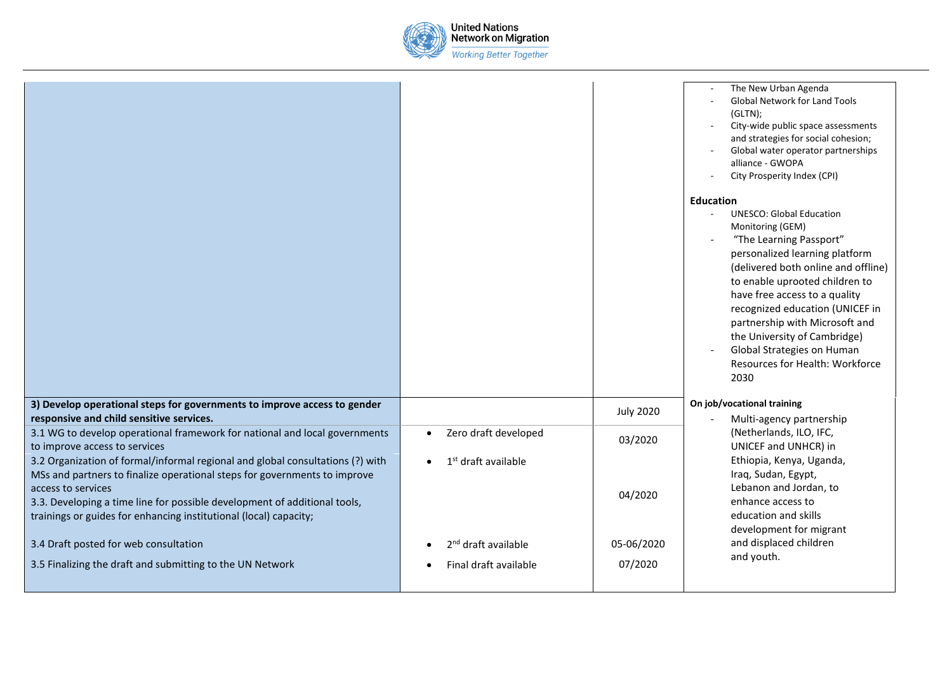

|                                                                                                                                                                                                                                                                                                                                     |                                                          |                       | The New Urban Agenda<br><b>Global Network for Land Tools</b><br>(GLTN);<br>City-wide public space assessments<br>and strategies for social cohesion;<br>Global water operator partnerships<br>alliance - GWOPA<br>City Prosperity Index (CPI)                                                                                                                                                                                |
|-------------------------------------------------------------------------------------------------------------------------------------------------------------------------------------------------------------------------------------------------------------------------------------------------------------------------------------|----------------------------------------------------------|-----------------------|------------------------------------------------------------------------------------------------------------------------------------------------------------------------------------------------------------------------------------------------------------------------------------------------------------------------------------------------------------------------------------------------------------------------------|
|                                                                                                                                                                                                                                                                                                                                     |                                                          |                       | <b>Education</b><br><b>UNESCO: Global Education</b><br>Monitoring (GEM)<br>"The Learning Passport"<br>personalized learning platform<br>(delivered both online and offline)<br>to enable uprooted children to<br>have free access to a quality<br>recognized education (UNICEF in<br>partnership with Microsoft and<br>the University of Cambridge)<br>Global Strategies on Human<br>Resources for Health: Workforce<br>2030 |
| 3) Develop operational steps for governments to improve access to gender<br>responsive and child sensitive services.                                                                                                                                                                                                                |                                                          | <b>July 2020</b>      | On job/vocational training<br>Multi-agency partnership                                                                                                                                                                                                                                                                                                                                                                       |
| 3.1 WG to develop operational framework for national and local governments<br>to improve access to services                                                                                                                                                                                                                         | Zero draft developed<br>$\bullet$                        | 03/2020               | (Netherlands, ILO, IFC,<br>UNICEF and UNHCR) in<br>Ethiopia, Kenya, Uganda,<br>Iraq, Sudan, Egypt,<br>Lebanon and Jordan, to<br>enhance access to<br>education and skills<br>development for migrant                                                                                                                                                                                                                         |
| 3.2 Organization of formal/informal regional and global consultations (?) with<br>MSs and partners to finalize operational steps for governments to improve<br>access to services<br>3.3. Developing a time line for possible development of additional tools,<br>trainings or guides for enhancing institutional (local) capacity; | 1 <sup>st</sup> draft available                          | 04/2020               |                                                                                                                                                                                                                                                                                                                                                                                                                              |
| 3.4 Draft posted for web consultation<br>3.5 Finalizing the draft and submitting to the UN Network                                                                                                                                                                                                                                  | 2 <sup>nd</sup> draft available<br>Final draft available | 05-06/2020<br>07/2020 | and displaced children<br>and youth.                                                                                                                                                                                                                                                                                                                                                                                         |
|                                                                                                                                                                                                                                                                                                                                     |                                                          |                       |                                                                                                                                                                                                                                                                                                                                                                                                                              |